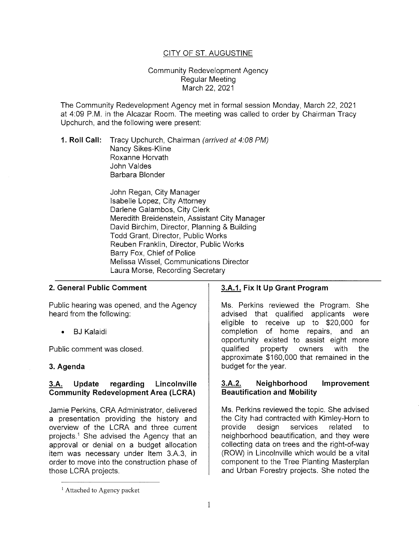# CITY OF ST. AUGUSTINE

### Community Redevelopment Agency Regular Meeting March 22, 2021

The Community Redevelopment Agency met in formal session Monday, March 22, 2021 at 4:09 P.M. in the Alcazar Room. The meeting was called to order by Chairman Tracy Upchurch, and the following were present:

**1. Roll Call:** Tracy Upchurch, Chairman (arrived at 4:08PM) Nancy Sikes-Kline Roxanne Horvath John Valdes Barbara Blonder

> John Regan, City Manager Isabelle Lopez, City Attorney Darlene Galambos, City Clerk Meredith Breidenstein, Assistant City Manager David Birchim, Director, Planning & Building Todd Grant, Director, Public Works Reuben Franklin, Director, Public Works Barry Fox, Chief of Police Melissa Wissel, Communications Director Laura Morse, Recording Secretary

### **2. General Public Comment**

Public hearing was opened, and the Agency heard from the following:

**BJ Kalaidi** 

Public comment was closed.

## **3. Agenda**

## **3.A. Update regarding Lincolnville Community Redevelopment Area (LCRA)**

Jamie Perkins, CRA Administrator, delivered a presentation providing the history and overview of the LCRA and three current projects.<sup>1</sup> She advised the Agency that an approval or denial on a budget allocation item was necessary under Item 3.A.3, in order to move into the construction phase of those LCRA projects.

# **3.A.1. Fix It Up Grant Program**

Ms. Perkins reviewed the Program. She advised that qualified applicants were eligible to receive up to \$20,000 for completion of home repairs, and an opportunity existed to assist eight more qualified property owners with the approximate \$160,000 that remained in the budget for the year.

## **3.A.2. Neighborhood Improvement Beautification and Mobility**

Ms. Perkins reviewed the topic. She advised the City had contracted with Kimley-Horn to provide design services related to neighborhood beautification, and they were collecting data on trees and the right-of-way (ROW) in Lincolnville which would be a vital component to the Tree Planting Masterplan and Urban Forestry projects. She noted the

<sup>&</sup>lt;sup>1</sup> Attached to Agency packet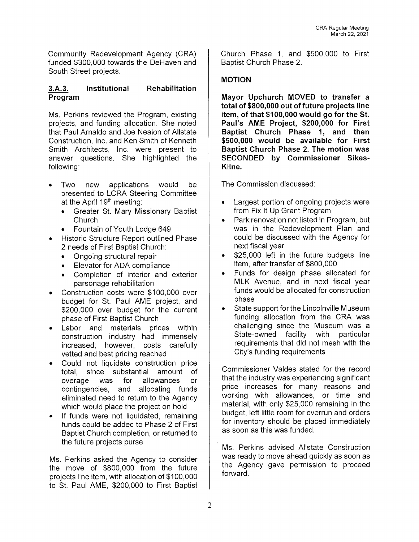Community Redevelopment Agency (CRA) funded \$300,000 towards the DeHaven and South Street projects.

#### **3.A.3. Program Institutional Rehabilitation**

Ms. Perkins reviewed the Program, existing projects, and funding allocation. She noted that Paul Arnaldo and Joe Nealon of Allstate Construction, Inc. and Ken Smith of Kenneth Smith Architects, Inc. were present to answer questions. She highlighted the following:

- Two new applications would be presented to LCRA Steering Committee at the April  $19<sup>th</sup>$  meeting:
	- Greater St. Mary Missionary Baptist **Church**
	- Fountain of Youth Lodge 649
- Historic Structure Report outlined Phase 2 needs of First Baptist Church:
	- Ongoing structural repair
	- Elevator for ADA compliance
	- Completion of interior and exterior parsonage rehabilitation
- Construction costs were \$100,000 over budget for St. Paul AME project, and \$200,000 over budget for the current phase of First Baptist Church
- Labor and materials prices within construction industry had immensely increased; however, costs carefully vetted and best pricing reached
- Could not liquidate construction price total, since substantial amount of overage was for allowances or contingencies, and allocating funds eliminated need to return to the Agency which would place the project on hold
- If funds were not liquidated, remaining funds could be added to Phase 2 of First Baptist Church completion, or returned to the future projects purse

Ms. Perkins asked the Agency to consider the move of \$800,000 from the future projects line item, with allocation of \$100,000 to St. Paul AME, \$200,000 to First Baptist Church Phase 1, and \$500,000 to First Baptist Church Phase 2.

# **MOTION**

**Mayor Upchurch MOVED to transfer a total of \$800,000 out of future projects line item, of that \$100,000 would go for the St. Paul's AME Project, \$200,000 for First Baptist Church Phase 1, and then \$500,000 would be available for First Baptist Church Phase 2. The motion was SECONDED by Commissioner Sikes-Kline.** 

The Commission discussed:

- Largest portion of ongoing projects were from Fix It Up Grant Program
- Park renovation not listed in Program, but was in the Redevelopment Plan and could be discussed with the Agency for next fiscal year
- \$25,000 left in the future budgets line item, after transfer of \$800,000
- Funds for design phase allocated for MLK Avenue, and in next fiscal year funds would be allocated for construction phase
- State support for the Lincolnville Museum funding allocation from the CRA was challenging since the Museum was a State-owned facility with particular requirements that did not mesh with the City's funding requirements

Commissioner Valdes stated for the record that the industry was experiencing significant price increases for many reasons and working with allowances, or time and material, with only \$25,000 remaining in the budget, left little room for overrun and orders for inventory should be placed immediately as soon as this was funded.

Ms. Perkins advised Allstate Construction was ready to move ahead quickly as soon as the Agency gave permission to proceed forward.